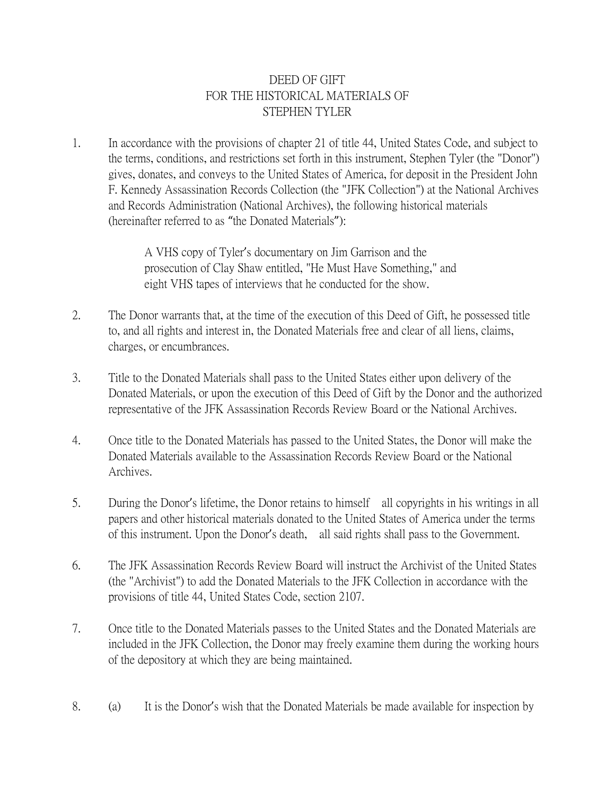## DEED OF GIFT FOR THE HISTORICAL MATERIALS OF STEPHEN TYLER

1. In accordance with the provisions of chapter 21 of title 44, United States Code, and subject to the terms, conditions, and restrictions set forth in this instrument, Stephen Tyler (the "Donor") gives, donates, and conveys to the United States of America, for deposit in the President John F. Kennedy Assassination Records Collection (the "JFK Collection") at the National Archives and Records Administration (National Archives), the following historical materials (hereinafter referred to as "the Donated Materials"):

> A VHS copy of Tyler's documentary on Jim Garrison and the prosecution of Clay Shaw entitled, "He Must Have Something," and eight VHS tapes of interviews that he conducted for the show.

- 2. The Donor warrants that, at the time of the execution of this Deed of Gift, he possessed title to, and all rights and interest in, the Donated Materials free and clear of all liens, claims, charges, or encumbrances.
- 3. Title to the Donated Materials shall pass to the United States either upon delivery of the Donated Materials, or upon the execution of this Deed of Gift by the Donor and the authorized representative of the JFK Assassination Records Review Board or the National Archives.
- 4. Once title to the Donated Materials has passed to the United States, the Donor will make the Donated Materials available to the Assassination Records Review Board or the National Archives.
- 5. During the Donor's lifetime, the Donor retains to himself all copyrights in his writings in all papers and other historical materials donated to the United States of America under the terms of this instrument. Upon the Donor's death, all said rights shall pass to the Government.
- 6. The JFK Assassination Records Review Board will instruct the Archivist of the United States (the "Archivist") to add the Donated Materials to the JFK Collection in accordance with the provisions of title 44, United States Code, section 2107.
- 7. Once title to the Donated Materials passes to the United States and the Donated Materials are included in the JFK Collection, the Donor may freely examine them during the working hours of the depository at which they are being maintained.
- 8. (a) It is the Donor's wish that the Donated Materials be made available for inspection by